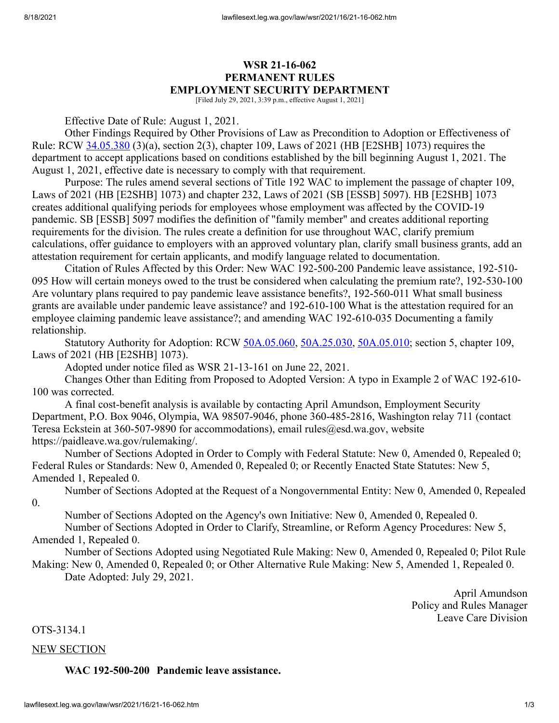# **WSR 21-16-062 PERMANENT RULES EMPLOYMENT SECURITY DEPARTMENT**

[Filed July 29, 2021, 3:39 p.m., effective August 1, 2021]

Effective Date of Rule: August 1, 2021.

Other Findings Required by Other Provisions of Law as Precondition to Adoption or Effectiveness of Rule: RCW [34.05.380](http://app.leg.wa.gov/RCW/default.aspx?cite=34.05.380) (3)(a), section 2(3), chapter 109, Laws of 2021 (HB [E2SHB] 1073) requires the department to accept applications based on conditions established by the bill beginning August 1, 2021. The August 1, 2021, effective date is necessary to comply with that requirement.

Purpose: The rules amend several sections of Title 192 WAC to implement the passage of chapter 109, Laws of 2021 (HB [E2SHB] 1073) and chapter 232, Laws of 2021 (SB [ESSB] 5097). HB [E2SHB] 1073 creates additional qualifying periods for employees whose employment was affected by the COVID-19 pandemic. SB [ESSB] 5097 modifies the definition of "family member" and creates additional reporting requirements for the division. The rules create a definition for use throughout WAC, clarify premium calculations, offer guidance to employers with an approved voluntary plan, clarify small business grants, add an attestation requirement for certain applicants, and modify language related to documentation.

Citation of Rules Affected by this Order: New WAC 192-500-200 Pandemic leave assistance, 192-510- 095 How will certain moneys owed to the trust be considered when calculating the premium rate?, 192-530-100 Are voluntary plans required to pay pandemic leave assistance benefits?, 192-560-011 What small business grants are available under pandemic leave assistance? and 192-610-100 What is the attestation required for an employee claiming pandemic leave assistance?; and amending WAC 192-610-035 Documenting a family relationship.

Statutory Authority for Adoption: RCW [50A.05.060](http://app.leg.wa.gov/RCW/default.aspx?cite=50A.05.060), [50A.25.030,](http://app.leg.wa.gov/RCW/default.aspx?cite=50A.25.030) [50A.05.010;](http://app.leg.wa.gov/RCW/default.aspx?cite=50A.05.010) section 5, chapter 109, Laws of 2021 (HB [E2SHB] 1073).

Adopted under notice filed as WSR 21-13-161 on June 22, 2021.

Changes Other than Editing from Proposed to Adopted Version: A typo in Example 2 of WAC 192-610- 100 was corrected.

A final cost-benefit analysis is available by contacting April Amundson, Employment Security Department, P.O. Box 9046, Olympia, WA 98507-9046, phone 360-485-2816, Washington relay 711 (contact Teresa Eckstein at 360-507-9890 for accommodations), email rules@esd.wa.gov, website https://paidleave.wa.gov/rulemaking/.

Number of Sections Adopted in Order to Comply with Federal Statute: New 0, Amended 0, Repealed 0; Federal Rules or Standards: New 0, Amended 0, Repealed 0; or Recently Enacted State Statutes: New 5, Amended 1, Repealed 0.

Number of Sections Adopted at the Request of a Nongovernmental Entity: New 0, Amended 0, Repealed 0.

Number of Sections Adopted on the Agency's own Initiative: New 0, Amended 0, Repealed 0.

Number of Sections Adopted in Order to Clarify, Streamline, or Reform Agency Procedures: New 5, Amended 1, Repealed 0.

Number of Sections Adopted using Negotiated Rule Making: New 0, Amended 0, Repealed 0; Pilot Rule Making: New 0, Amended 0, Repealed 0; or Other Alternative Rule Making: New 5, Amended 1, Repealed 0.

Date Adopted: July 29, 2021.

April Amundson Policy and Rules Manager Leave Care Division

OTS-3134.1

NEW SECTION

#### **WAC 192-500-200 Pandemic leave assistance.**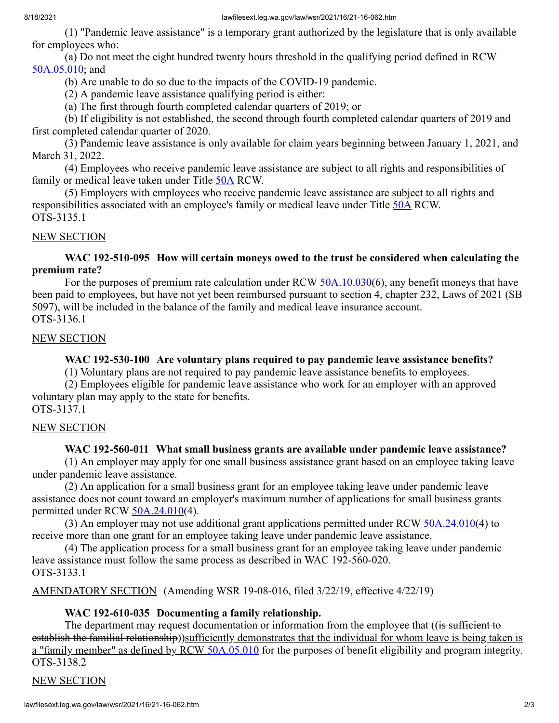(1) "Pandemic leave assistance" is a temporary grant authorized by the legislature that is only available for employees who:

(a) Do not meet the eight hundred twenty hours threshold in the qualifying period defined in RCW [50A.05.010;](http://app.leg.wa.gov/RCW/default.aspx?cite=50A.05.010) and

(b) Are unable to do so due to the impacts of the COVID-19 pandemic.

(2) A pandemic leave assistance qualifying period is either:

(a) The first through fourth completed calendar quarters of 2019; or

(b) If eligibility is not established, the second through fourth completed calendar quarters of 2019 and first completed calendar quarter of 2020.

(3) Pandemic leave assistance is only available for claim years beginning between January 1, 2021, and March 31, 2022.

(4) Employees who receive pandemic leave assistance are subject to all rights and responsibilities of family or medical leave taken under Title [50A](http://app.leg.wa.gov/RCW/default.aspx?cite=50A) RCW.

(5) Employers with employees who receive pandemic leave assistance are subject to all rights and responsibilities associated with an employee's family or medical leave under Title [50A](http://app.leg.wa.gov/RCW/default.aspx?cite=50A) RCW. OTS-3135.1

#### NEW SECTION

**WAC 192-510-095 How will certain moneys owed to the trust be considered when calculating the premium rate?**

For the purposes of premium rate calculation under RCW [50A.10.030](http://app.leg.wa.gov/RCW/default.aspx?cite=50A.10.030)(6), any benefit moneys that have been paid to employees, but have not yet been reimbursed pursuant to section 4, chapter 232, Laws of 2021 (SB 5097), will be included in the balance of the family and medical leave insurance account. OTS-3136.1

## NEW SECTION

## **WAC 192-530-100 Are voluntary plans required to pay pandemic leave assistance benefits?**

(1) Voluntary plans are not required to pay pandemic leave assistance benefits to employees.

(2) Employees eligible for pandemic leave assistance who work for an employer with an approved voluntary plan may apply to the state for benefits. OTS-3137.1

# NEW SECTION

## **WAC 192-560-011 What small business grants are available under pandemic leave assistance?**

(1) An employer may apply for one small business assistance grant based on an employee taking leave under pandemic leave assistance.

(2) An application for a small business grant for an employee taking leave under pandemic leave assistance does not count toward an employer's maximum number of applications for small business grants permitted under RCW [50A.24.010](http://app.leg.wa.gov/RCW/default.aspx?cite=50A.24.010)(4).

(3) An employer may not use additional grant applications permitted under RCW [50A.24.010\(](http://app.leg.wa.gov/RCW/default.aspx?cite=50A.24.010)4) to receive more than one grant for an employee taking leave under pandemic leave assistance.

(4) The application process for a small business grant for an employee taking leave under pandemic leave assistance must follow the same process as described in WAC 192-560-020. OTS-3133.1

AMENDATORY SECTION (Amending WSR 19-08-016, filed 3/22/19, effective 4/22/19)

## **WAC 192-610-035 Documenting a family relationship.**

The department may request documentation or information from the employee that ((is sufficient to establish the familial relationship))sufficiently demonstrates that the individual for whom leave is being taken is a "family member" as defined by RCW [50A.05.010](http://app.leg.wa.gov/RCW/default.aspx?cite=50A.05.010) for the purposes of benefit eligibility and program integrity. OTS-3138.2

## NEW SECTION